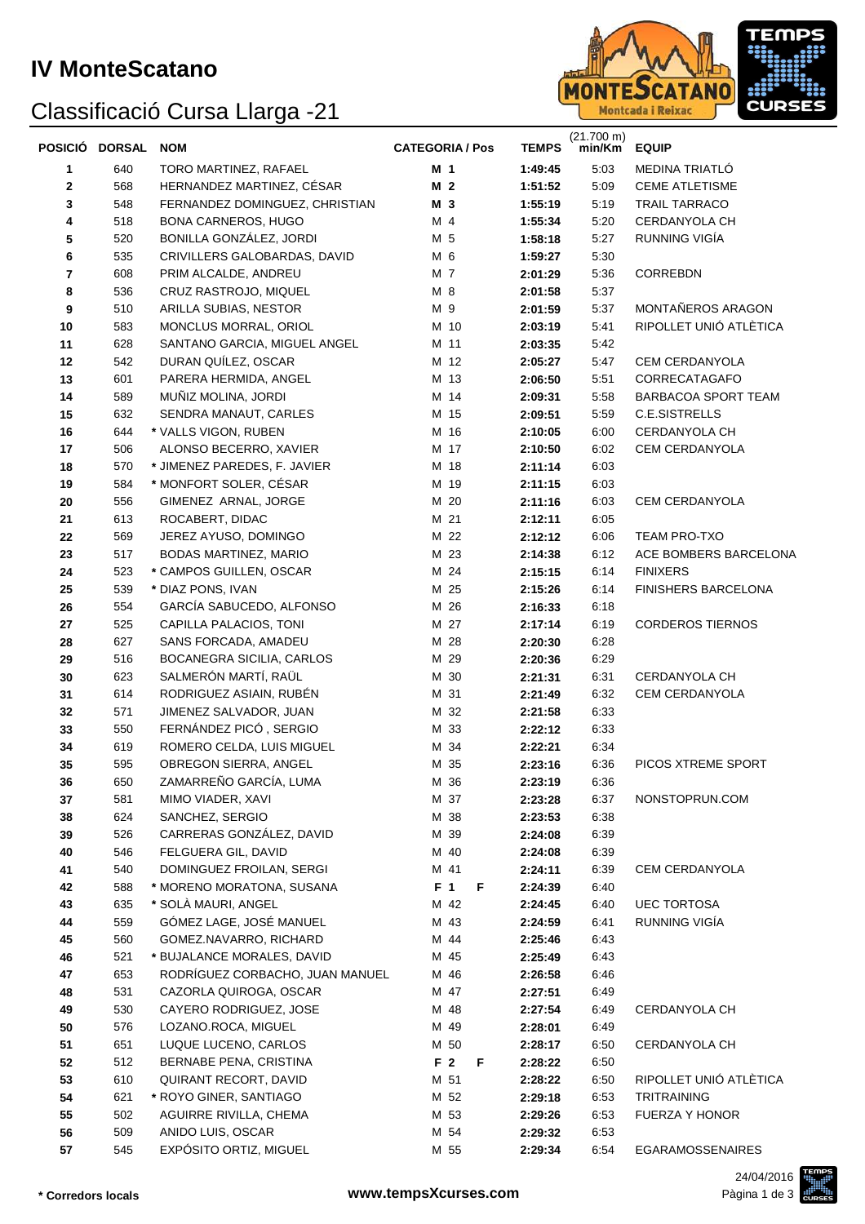## Classificació Cursa Llarga -21



|          | POSICIÓ DORSAL | <b>NOM</b>                                            | <b>CATEGORIA / Pos</b> | <b>TEMPS</b>       | (21.700 m)<br>min/Km | <b>EQUIP</b>            |
|----------|----------------|-------------------------------------------------------|------------------------|--------------------|----------------------|-------------------------|
| 1        | 640            | TORO MARTINEZ, RAFAEL                                 | M <sub>1</sub>         | 1:49:45            | 5:03                 | MEDINA TRIATLO          |
| 2        | 568            | HERNANDEZ MARTINEZ, CÉSAR                             | M <sub>2</sub>         | 1:51:52            | 5:09                 | <b>CEME ATLETISME</b>   |
| 3        | 548            | FERNANDEZ DOMINGUEZ, CHRISTIAN                        | M 3                    | 1:55:19            | 5:19                 | TRAIL TARRACO           |
| 4        | 518            | <b>BONA CARNEROS, HUGO</b>                            | M 4                    | 1:55:34            | 5:20                 | CERDANYOLA CH           |
| 5        | 520            | BONILLA GONZÁLEZ, JORDI                               | M 5                    | 1:58:18            | 5:27                 | RUNNING VIGÍA           |
| 6        | 535            | CRIVILLERS GALOBARDAS, DAVID                          | M 6                    | 1:59:27            | 5:30                 |                         |
| 7        | 608            | PRIM ALCALDE, ANDREU                                  | M 7                    | 2:01:29            | 5:36                 | CORREBDN                |
| 8        | 536            | CRUZ RASTROJO, MIQUEL                                 | M 8                    | 2:01:58            | 5:37                 |                         |
| 9        | 510            | ARILLA SUBIAS, NESTOR                                 | M 9                    | 2:01:59            | 5:37                 | MONTAÑEROS ARAGON       |
| 10       | 583            | MONCLUS MORRAL, ORIOL                                 | M 10                   | 2:03:19            | 5:41                 | RIPOLLET UNIÓ ATLÈTICA  |
| 11       | 628            | SANTANO GARCIA, MIGUEL ANGEL                          | M 11                   | 2:03:35            | 5:42                 |                         |
| 12       | 542            | DURAN QUILEZ, OSCAR                                   | M 12                   | 2:05:27            | 5:47                 | CEM CERDANYOLA          |
| 13       | 601            | PARERA HERMIDA, ANGEL                                 | M 13                   | 2:06:50            | 5:51                 | CORRECATAGAFO           |
| 14       | 589            | MUÑIZ MOLINA, JORDI                                   | M 14                   | 2:09:31            | 5:58                 | BARBACOA SPORT TEAM     |
| 15       | 632            | SENDRA MANAUT, CARLES                                 | M 15                   | 2:09:51            | 5:59                 | C.E.SISTRELLS           |
| 16       | 644            | * VALLS VIGON, RUBEN                                  | M 16                   | 2:10:05            | 6:00                 | CERDANYOLA CH           |
| 17       | 506            | ALONSO BECERRO, XAVIER                                | M 17                   | 2:10:50            | 6:02                 | CEM CERDANYOLA          |
| 18       | 570            | * JIMENEZ PAREDES, F. JAVIER                          | M 18                   | 2:11:14            | 6:03                 |                         |
| 19       | 584            | * MONFORT SOLER, CÉSAR                                | M 19                   | 2:11:15            | 6:03                 |                         |
| 20       | 556            | GIMENEZ ARNAL, JORGE                                  | M 20                   | 2:11:16            | 6:03                 | CEM CERDANYOLA          |
| 21       | 613            | ROCABERT, DIDAC                                       | M 21                   | 2:12:11            | 6:05                 |                         |
| 22       | 569            | JEREZ AYUSO, DOMINGO                                  | M 22                   | 2:12:12            | 6:06                 | <b>TEAM PRO-TXO</b>     |
| 23       | 517            | BODAS MARTINEZ, MARIO                                 | M 23                   | 2:14:38            | 6:12                 | ACE BOMBERS BARCELONA   |
| 24       | 523            | * CAMPOS GUILLEN, OSCAR                               | M 24                   | 2:15:15            | 6:14                 | <b>FINIXERS</b>         |
| 25       | 539            | * DIAZ PONS, IVAN                                     | M 25                   | 2:15:26            | 6:14                 | FINISHERS BARCELONA     |
| 26       | 554            | GARCÍA SABUCEDO, ALFONSO                              | M 26                   | 2:16:33            | 6:18                 |                         |
| 27       | 525            | CAPILLA PALACIOS, TONI                                | M 27                   | 2:17:14            | 6:19                 | <b>CORDEROS TIERNOS</b> |
| 28       | 627            | SANS FORCADA, AMADEU                                  | M 28                   | 2:20:30            | 6:28                 |                         |
| 29       | 516            | BOCANEGRA SICILIA, CARLOS                             | M 29                   | 2:20:36            | 6:29                 |                         |
| 30       | 623            | SALMERÓN MARTÍ, RAÜL                                  | M 30                   | 2:21:31            | 6:31                 | CERDANYOLA CH           |
| 31       | 614            | RODRIGUEZ ASIAIN, RUBÉN                               | M 31                   | 2:21:49            | 6:32                 | <b>CEM CERDANYOLA</b>   |
| 32       | 571            | JIMENEZ SALVADOR, JUAN                                | M 32                   | 2:21:58            | 6:33                 |                         |
| 33       | 550            | FERNÁNDEZ PICÓ, SERGIO                                | M 33                   | 2:22:12            | 6:33                 |                         |
| 34       | 619            | ROMERO CELDA, LUIS MIGUEL                             | M 34                   | 2:22:21            | 6:34                 |                         |
| 35       | 595            | OBREGON SIERRA, ANGEL                                 | M 35                   | 2:23:16            | 6:36                 | PICOS XTREME SPORT      |
| 36       | 650            | ZAMARREÑO GARCÍA, LUMA                                | M 36                   | 2:23:19            | 6:36                 |                         |
| 37       | 581            | MIMO VIADER, XAVI                                     | M 37                   | 2:23:28            | 6:37                 | NONSTOPRUN.COM          |
| 38       | 624            | SANCHEZ, SERGIO                                       | M 38                   | 2:23:53            | 6:38                 |                         |
| 39       | 526            | CARRERAS GONZALEZ, DAVID                              | M 39                   | 2:24:08            | 6:39                 |                         |
| 40       | 546            | FELGUERA GIL, DAVID                                   | M 40                   | 2:24:08            | 6:39                 |                         |
| 41       | 540            | DOMINGUEZ FROILAN, SERGI<br>* MORENO MORATONA, SUSANA | M 41                   | 2:24:11            | 6:39                 | <b>CEM CERDANYOLA</b>   |
| 42       | 588<br>635     | * SOLA MAURI, ANGEL                                   | F 1<br>F               | 2:24:39            | 6:40                 | <b>UEC TORTOSA</b>      |
| 43<br>44 | 559            | GÓMEZ LAGE, JOSÉ MANUEL                               | M 42<br>M 43           | 2:24:45            | 6:40<br>6:41         | RUNNING VIGÍA           |
| 45       | 560            | GOMEZ.NAVARRO, RICHARD                                | M 44                   | 2:24:59<br>2:25:46 | 6:43                 |                         |
| 46       | 521            | * BUJALANCE MORALES, DAVID                            | M 45                   | 2:25:49            | 6:43                 |                         |
| 47       | 653            | RODRÍGUEZ CORBACHO, JUAN MANUEL                       | M 46                   | 2:26:58            | 6:46                 |                         |
| 48       | 531            | CAZORLA QUIROGA, OSCAR                                | M 47                   | 2:27:51            | 6:49                 |                         |
| 49       | 530            | CAYERO RODRIGUEZ, JOSE                                | M 48                   | 2:27:54            | 6:49                 | CERDANYOLA CH           |
| 50       | 576            | LOZANO.ROCA, MIGUEL                                   | M 49                   | 2:28:01            | 6:49                 |                         |
| 51       | 651            | LUQUE LUCENO, CARLOS                                  | M 50                   | 2:28:17            | 6:50                 | CERDANYOLA CH           |
| 52       | 512            | BERNABE PENA, CRISTINA                                | F 2<br>F               | 2:28:22            | 6:50                 |                         |
| 53       | 610            | QUIRANT RECORT, DAVID                                 | M 51                   | 2:28:22            | 6:50                 | RIPOLLET UNIÓ ATLÈTICA  |
| 54       | 621            | * ROYO GINER, SANTIAGO                                | M 52                   | 2:29:18            | 6:53                 | <b>TRITRAINING</b>      |
| 55       | 502            | AGUIRRE RIVILLA, CHEMA                                | M 53                   | 2:29:26            | 6:53                 | FUERZA Y HONOR          |
| 56       | 509            | ANIDO LUIS, OSCAR                                     | M 54                   | 2:29:32            | 6:53                 |                         |
| 57       | 545            | EXPÓSITO ORTIZ, MIGUEL                                | M 55                   | 2:29:34            | 6:54                 | EGARAMOSSENAIRES        |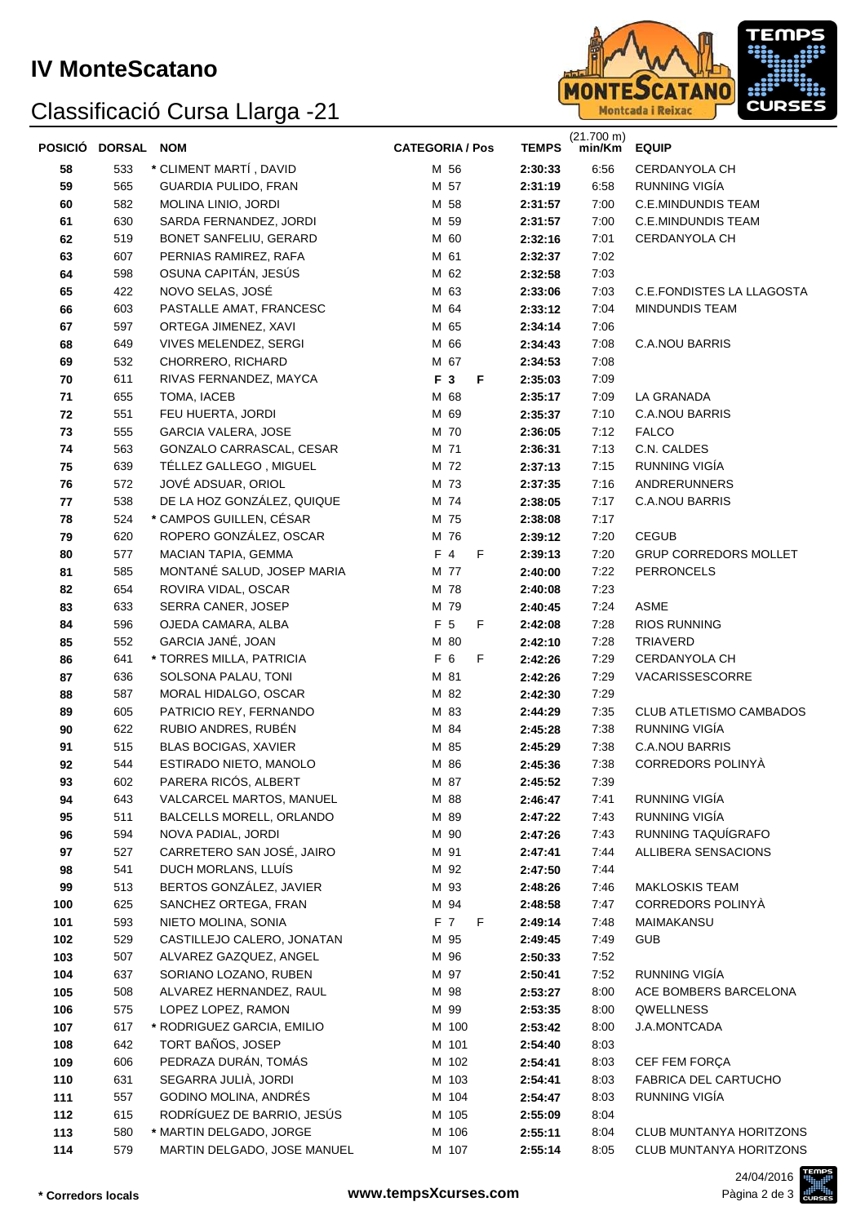## Classificació Cursa Llarga -21



| POSICIÓ DORSAL NOM |     |                             | <b>CATEGORIA / Pos</b> | <b>TEMPS</b> | (21.700 m)<br>min/Km | <b>EQUIP</b>                   |
|--------------------|-----|-----------------------------|------------------------|--------------|----------------------|--------------------------------|
| 58                 | 533 | * CLIMENT MARTÍ, DAVID      | M 56                   | 2:30:33      | 6:56                 | CERDANYOLA CH                  |
| 59                 | 565 | GUARDIA PULIDO, FRAN        | M 57                   | 2:31:19      | 6:58                 | RUNNING VIGÍA                  |
| 60                 | 582 | MOLINA LINIO, JORDI         | M 58                   | 2:31:57      | 7:00                 | <b>C.E.MINDUNDIS TEAM</b>      |
| 61                 | 630 | SARDA FERNANDEZ, JORDI      | M 59                   | 2:31:57      | 7:00                 | <b>C.E.MINDUNDIS TEAM</b>      |
| 62                 | 519 | BONET SANFELIU, GERARD      | M 60                   | 2:32:16      | 7:01                 | CERDANYOLA CH                  |
| 63                 | 607 | PERNIAS RAMIREZ, RAFA       | M 61                   | 2:32:37      | 7:02                 |                                |
| 64                 | 598 | OSUNA CAPITÁN, JESÚS        | M 62                   | 2:32:58      | 7:03                 |                                |
| 65                 | 422 | NOVO SELAS, JOSÉ            | M 63                   | 2:33:06      | 7:03                 | C.E.FONDISTES LA LLAGOSTA      |
| 66                 | 603 | PASTALLE AMAT, FRANCESC     | M 64                   | 2:33:12      | 7:04                 | <b>MINDUNDIS TEAM</b>          |
| 67                 | 597 | ORTEGA JIMENEZ, XAVI        | M 65                   | 2:34:14      | 7:06                 |                                |
| 68                 | 649 | VIVES MELENDEZ, SERGI       | M 66                   | 2:34:43      | 7:08                 | <b>C.A.NOU BARRIS</b>          |
| 69                 | 532 | CHORRERO, RICHARD           | M 67                   | 2:34:53      | 7:08                 |                                |
| 70                 | 611 | RIVAS FERNANDEZ, MAYCA      | F 3<br>F               | 2:35:03      | 7:09                 |                                |
| 71                 | 655 | TOMA, IACEB                 | M 68                   | 2:35:17      | 7:09                 | LA GRANADA                     |
| 72                 | 551 | FEU HUERTA, JORDI           | M 69                   | 2:35:37      | 7:10                 | <b>C.A.NOU BARRIS</b>          |
| 73                 | 555 | <b>GARCIA VALERA, JOSE</b>  | M 70                   | 2:36:05      | 7:12                 | <b>FALCO</b>                   |
| 74                 | 563 | GONZALO CARRASCAL, CESAR    | M 71                   | 2:36:31      | 7:13                 | C.N. CALDES                    |
| 75                 | 639 | TÉLLEZ GALLEGO, MIGUEL      | M 72                   | 2:37:13      | 7:15                 | RUNNING VIGÍA                  |
| 76                 | 572 | JOVÉ ADSUAR, ORIOL          | M 73                   | 2:37:35      | 7:16                 | <b>ANDRERUNNERS</b>            |
| 77                 | 538 | DE LA HOZ GONZÁLEZ, QUIQUE  | M 74                   | 2:38:05      | 7:17                 | <b>C.A.NOU BARRIS</b>          |
| 78                 | 524 | * CAMPOS GUILLEN, CÉSAR     | M 75                   | 2:38:08      | 7:17                 |                                |
| 79                 | 620 | ROPERO GONZÁLEZ, OSCAR      | M 76                   | 2:39:12      | 7:20                 | <b>CEGUB</b>                   |
| 80                 | 577 | MACIAN TAPIA, GEMMA         | F 4<br>F               | 2:39:13      | 7:20                 | <b>GRUP CORREDORS MOLLET</b>   |
| 81                 | 585 | MONTANÉ SALUD, JOSEP MARIA  | M 77                   | 2:40:00      | 7:22                 | <b>PERRONCELS</b>              |
| 82                 | 654 | ROVIRA VIDAL, OSCAR         | M 78                   | 2:40:08      | 7:23                 |                                |
| 83                 | 633 | SERRA CANER, JOSEP          | M 79                   | 2:40:45      | 7:24                 | <b>ASME</b>                    |
| 84                 | 596 | OJEDA CAMARA, ALBA          | F 5<br>F               | 2:42:08      | 7:28                 | <b>RIOS RUNNING</b>            |
| 85                 | 552 | GARCIA JANÉ, JOAN           | M 80                   | 2:42:10      | 7:28                 | TRIAVERD                       |
| 86                 | 641 | * TORRES MILLA, PATRICIA    | F 6<br>F               | 2:42:26      | 7:29                 | CERDANYOLA CH                  |
| 87                 | 636 | SOLSONA PALAU, TONI         | M 81                   | 2:42:26      | 7:29                 | VACARISSESCORRE                |
| 88                 | 587 | MORAL HIDALGO, OSCAR        | M 82                   | 2:42:30      | 7:29                 |                                |
| 89                 | 605 | PATRICIO REY, FERNANDO      | M 83                   | 2:44:29      | 7:35                 | CLUB ATLETISMO CAMBADOS        |
| 90                 | 622 | RUBIO ANDRES, RUBÉN         | M 84                   | 2:45:28      | 7:38                 | RUNNING VIGÍA                  |
| 91                 | 515 | <b>BLAS BOCIGAS, XAVIER</b> | M 85                   | 2:45:29      | 7:38                 | <b>C.A.NOU BARRIS</b>          |
| 92                 | 544 | ESTIRADO NIETO, MANOLO      | M 86                   | 2:45:36      | 7:38                 | CORREDORS POLINYÀ              |
| 93                 | 602 | PARERA RICÓS, ALBERT        | M 87                   | 2:45:52      | 7:39                 |                                |
| 94                 | 643 | VALCARCEL MARTOS, MANUEL    | M 88                   | 2:46:47      | 7:41                 | RUNNING VIGÍA                  |
| 95                 | 511 | BALCELLS MORELL, ORLANDO    | M 89                   | 2:47:22      | 7:43                 | RUNNING VIGÍA                  |
| 96                 | 594 | NOVA PADIAL, JORDI          | M 90                   | 2:47:26      | 7:43                 | RUNNING TAQUÍGRAFO             |
| 97                 | 527 | CARRETERO SAN JOSÉ, JAIRO   | M 91                   | 2:47:41      | 7:44                 | ALLIBERA SENSACIONS            |
| 98                 | 541 | DUCH MORLANS, LLUÍS         | M 92                   | 2:47:50      | 7:44                 |                                |
| 99                 | 513 | BERTOS GONZÁLEZ, JAVIER     | M 93                   | 2:48:26      | 7:46                 | <b>MAKLOSKIS TEAM</b>          |
| 100                | 625 | SANCHEZ ORTEGA, FRAN        | M 94                   | 2:48:58      | 7:47                 | CORREDORS POLINYÀ              |
| 101                | 593 | NIETO MOLINA, SONIA         | F 7<br>F               | 2:49:14      | 7:48                 | MAIMAKANSU                     |
| 102                | 529 | CASTILLEJO CALERO, JONATAN  | M 95                   | 2:49:45      | 7:49                 | <b>GUB</b>                     |
| 103                | 507 | ALVAREZ GAZQUEZ, ANGEL      | M 96                   | 2:50:33      | 7:52                 |                                |
| 104                | 637 | SORIANO LOZANO, RUBEN       | M 97                   | 2:50:41      | 7:52                 | RUNNING VIGÍA                  |
| 105                | 508 | ALVAREZ HERNANDEZ, RAUL     | M 98                   | 2:53:27      | 8:00                 | ACE BOMBERS BARCELONA          |
| 106                | 575 | LOPEZ LOPEZ, RAMON          | M 99                   | 2:53:35      | 8:00                 | QWELLNESS                      |
| 107                | 617 | * RODRIGUEZ GARCIA, EMILIO  | M 100                  | 2:53:42      | 8:00                 | J.A.MONTCADA                   |
| 108                | 642 | TORT BAÑOS, JOSEP           | M 101                  | 2:54:40      | 8:03                 |                                |
| 109                | 606 | PEDRAZA DURÁN, TOMÁS        | M 102                  | 2:54:41      | 8:03                 | CEF FEM FORÇA                  |
| 110                | 631 | SEGARRA JULIÀ, JORDI        | M 103                  | 2:54:41      | 8:03                 | FABRICA DEL CARTUCHO           |
| 111                | 557 | GODINO MOLINA, ANDRÉS       | M 104                  | 2:54:47      | 8:03                 | RUNNING VIGÍA                  |
| 112                | 615 | RODRÍGUEZ DE BARRIO, JESÚS  | M 105                  | 2:55:09      | 8:04                 |                                |
| 113                | 580 | * MARTIN DELGADO, JORGE     | M 106                  | 2:55:11      | 8:04                 | <b>CLUB MUNTANYA HORITZONS</b> |
| 114                | 579 | MARTIN DELGADO, JOSE MANUEL | M 107                  | 2:55:14      | 8:05                 | CLUB MUNTANYA HORITZONS        |